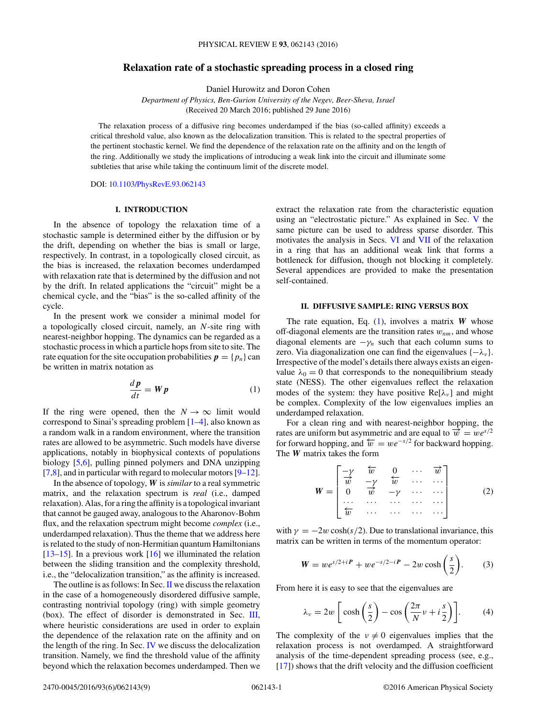# <span id="page-0-0"></span>**Relaxation rate of a stochastic spreading process in a closed ring**

Daniel Hurowitz and Doron Cohen

*Department of Physics, Ben-Gurion University of the Negev, Beer-Sheva, Israel* (Received 20 March 2016; published 29 June 2016)

The relaxation process of a diffusive ring becomes underdamped if the bias (so-called affinity) exceeds a critical threshold value, also known as the delocalization transition. This is related to the spectral properties of the pertinent stochastic kernel. We find the dependence of the relaxation rate on the affinity and on the length of the ring. Additionally we study the implications of introducing a weak link into the circuit and illuminate some subtleties that arise while taking the continuum limit of the discrete model.

DOI: [10.1103/PhysRevE.93.062143](http://dx.doi.org/10.1103/PhysRevE.93.062143)

## **I. INTRODUCTION**

In the absence of topology the relaxation time of a stochastic sample is determined either by the diffusion or by the drift, depending on whether the bias is small or large, respectively. In contrast, in a topologically closed circuit, as the bias is increased, the relaxation becomes underdamped with relaxation rate that is determined by the diffusion and not by the drift. In related applications the "circuit" might be a chemical cycle, and the "bias" is the so-called affinity of the cycle.

In the present work we consider a minimal model for a topologically closed circuit, namely, an *N*-site ring with nearest-neighbor hopping. The dynamics can be regarded as a stochastic process in which a particle hops from site to site. The rate equation for the site occupation probabilities  $p = \{p_n\}$  can be written in matrix notation as

$$
\frac{d\mathbf{p}}{dt} = \mathbf{W}\mathbf{p} \tag{1}
$$

If the ring were opened, then the  $N \to \infty$  limit would correspond to Sinai's spreading problem [\[1–4\]](#page-8-0), also known as a random walk in a random environment, where the transition rates are allowed to be asymmetric. Such models have diverse applications, notably in biophysical contexts of populations biology [\[5,6\]](#page-8-0), pulling pinned polymers and DNA unzipping  $[7,8]$ , and in particular with regard to molecular motors  $[9-12]$ .

In the absence of topology, *W* is*similar*to a real symmetric matrix, and the relaxation spectrum is *real* (i.e., damped relaxation). Alas, for a ring the affinity is a topological invariant that cannot be gauged away, analogous to the Aharonov-Bohm flux, and the relaxation spectrum might become *complex* (i.e., underdamped relaxation). Thus the theme that we address here is related to the study of non-Hermitian quantum Hamiltonians  $[13-15]$ . In a previous work  $[16]$  we illuminated the relation between the sliding transition and the complexity threshold, i.e., the "delocalization transition," as the affinity is increased.

The outline is as follows: In Sec. II we discuss the relaxation in the case of a homogeneously disordered diffusive sample, contrasting nontrivial topology (ring) with simple geometry (box). The effect of disorder is demonstrated in Sec. [III,](#page-1-0) where heuristic considerations are used in order to explain the dependence of the relaxation rate on the affinity and on the length of the ring. In Sec. [IV](#page-2-0) we discuss the delocalization transition. Namely, we find the threshold value of the affinity beyond which the relaxation becomes underdamped. Then we

extract the relaxation rate from the characteristic equation using an "electrostatic picture." As explained in Sec. [V](#page-4-0) the same picture can be used to address sparse disorder. This motivates the analysis in Secs. [VI](#page-4-0) and [VII](#page-5-0) of the relaxation in a ring that has an additional weak link that forms a bottleneck for diffusion, though not blocking it completely. Several appendices are provided to make the presentation self-contained.

### **II. DIFFUSIVE SAMPLE: RING VERSUS BOX**

The rate equation, Eq. (1), involves a matrix *W* whose off-diagonal elements are the transition rates  $w_{nm}$ , and whose diagonal elements are  $-\gamma_n$  such that each column sums to zero. Via diagonalization one can find the eigenvalues {−*λν* }. Irrespective of the model's details there always exists an eigenvalue  $\lambda_0 = 0$  that corresponds to the nonequilibrium steady state (NESS). The other eigenvalues reflect the relaxation modes of the system: they have positive  $Re[\lambda_{\nu}]$  and might be complex. Complexity of the low eigenvalues implies an underdamped relaxation.

For a clean ring and with nearest-neighbor hopping, the rates are uniform but asymmetric and are equal to  $\vec{w} = we^{s/2}$ for forward hopping, and  $\overleftarrow{w} = we^{-s/2}$  for backward hopping. The *W* matrix takes the form

$$
\mathbf{W} = \begin{bmatrix} -\gamma & \overleftarrow{w} & 0 & \cdots & \overrightarrow{w} \\ \overrightarrow{w} & -\gamma & \overleftarrow{w} & \cdots & \cdots \\ 0 & \overrightarrow{w} & -\gamma & \cdots & \cdots \\ \cdots & \cdots & \cdots & \cdots & \cdots \end{bmatrix} \tag{2}
$$

with  $\gamma = -2w \cosh(s/2)$ . Due to translational invariance, this matrix can be written in terms of the momentum operator:

$$
W = we^{s/2 + iP} + we^{-s/2 - iP} - 2w \cosh\left(\frac{s}{2}\right).
$$
 (3)

From here it is easy to see that the eigenvalues are

$$
\lambda_{\nu} = 2w \left[ \cosh\left(\frac{s}{2}\right) - \cos\left(\frac{2\pi}{N}\nu + i\frac{s}{2}\right) \right].
$$
 (4)

The complexity of the  $v \neq 0$  eigenvalues implies that the relaxation process is not overdamped. A straightforward analysis of the time-dependent spreading process (see, e.g., [\[17\]](#page-8-0)) shows that the drift velocity and the diffusion coefficient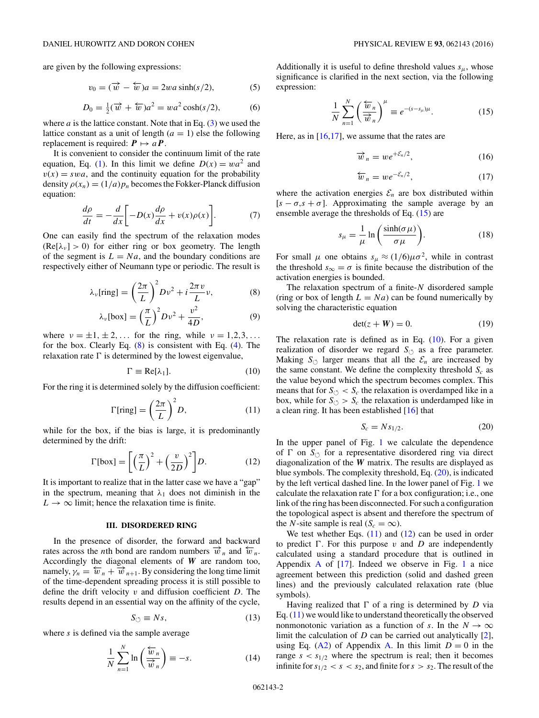<span id="page-1-0"></span>are given by the following expressions:

$$
v_0 = (\overrightarrow{w} - \overleftarrow{w})a = 2wa \sinh(s/2), \tag{5}
$$

$$
D_0 = \frac{1}{2}(\overrightarrow{w} + \overleftarrow{w})a^2 = wa^2 \cosh(s/2), \qquad (6)
$$

where  $a$  is the lattice constant. Note that in Eq.  $(3)$  we used the lattice constant as a unit of length  $(a = 1)$  else the following replacement is required:  $P \mapsto aP$ .

It is convenient to consider the continuum limit of the rate equation, Eq. [\(1\)](#page-0-0). In this limit we define  $D(x) = wa^2$  and  $v(x) = swa$ , and the continuity equation for the probability density  $\rho(x_n) = (1/a)p_n$  becomes the Fokker-Planck diffusion equation:

$$
\frac{d\rho}{dt} = -\frac{d}{dx}\bigg[-D(x)\frac{d\rho}{dx} + v(x)\rho(x)\bigg].\tag{7}
$$

One can easily find the spectrum of the relaxation modes  $(Re[\lambda_{\nu}] > 0)$  for either ring or box geometry. The length of the segment is  $L = Na$ , and the boundary conditions are respectively either of Neumann type or periodic. The result is

$$
\lambda_{\nu}[\text{ring}] = \left(\frac{2\pi}{L}\right)^2 D \nu^2 + i \frac{2\pi \nu}{L} \nu, \tag{8}
$$

$$
\lambda_{\nu}[\text{box}] = \left(\frac{\pi}{L}\right)^2 D\nu^2 + \frac{\nu^2}{4D},\tag{9}
$$

where  $\nu = \pm 1, \pm 2, \ldots$  for the ring, while  $\nu = 1, 2, 3, \ldots$ for the box. Clearly Eq. (8) is consistent with Eq. [\(4\)](#page-0-0). The relaxation rate  $\Gamma$  is determined by the lowest eigenvalue,

$$
\Gamma \equiv \text{Re}[\lambda_1].\tag{10}
$$

For the ring it is determined solely by the diffusion coefficient:

$$
\Gamma[\text{ring}] = \left(\frac{2\pi}{L}\right)^2 D,\tag{11}
$$

while for the box, if the bias is large, it is predominantly determined by the drift:

$$
\Gamma[\text{box}] = \left[ \left( \frac{\pi}{L} \right)^2 + \left( \frac{v}{2D} \right)^2 \right] D. \tag{12}
$$

It is important to realize that in the latter case we have a "gap" in the spectrum, meaning that  $\lambda_1$  does not diminish in the  $L \rightarrow \infty$  limit; hence the relaxation time is finite.

### **III. DISORDERED RING**

In the presence of disorder, the forward and backward rates across the *n*th bond are random numbers  $\vec{w}_n$  and  $\vec{w}_n$ . Accordingly the diagonal elements of *W* are random too, namely,  $\gamma_n = \overline{w}_n + \overline{w}_{n+1}$ . By considering the long time limit of the time-dependent spreading process it is still possible to define the drift velocity *v* and diffusion coefficient *D*. The results depend in an essential way on the affinity of the cycle,

$$
S_{\circlearrowleft} \equiv Ns,\tag{13}
$$

where *s* is defined via the sample average

$$
\frac{1}{N} \sum_{n=1}^{N} \ln \left( \frac{\overleftarrow{w}_n}{\overrightarrow{w}_n} \right) \equiv -s.
$$
 (14)

Additionally it is useful to define threshold values  $s_{\mu}$ , whose significance is clarified in the next section, via the following expression:

$$
\frac{1}{N} \sum_{n=1}^{N} \left( \frac{\overleftarrow{w}_n}{\overrightarrow{w}_n} \right)^{\mu} \equiv e^{-(s-s_{\mu})\mu}.
$$
 (15)

Here, as in  $[16,17]$ , we assume that the rates are

$$
\overrightarrow{w}_n = we^{+\mathcal{E}_n/2},\tag{16}
$$

$$
\overleftarrow{w}_n = we^{-\mathcal{E}_n/2},\tag{17}
$$

where the activation energies  $\mathcal{E}_n$  are box distributed within  $[s - \sigma, s + \sigma]$ . Approximating the sample average by an ensemble average the thresholds of Eq. (15) are

$$
s_{\mu} = \frac{1}{\mu} \ln \left( \frac{\sinh(\sigma \mu)}{\sigma \mu} \right).
$$
 (18)

For small  $\mu$  one obtains  $s_{\mu} \approx (1/6)\mu \sigma^2$ , while in contrast the threshold  $s_{\infty} = \sigma$  is finite because the distribution of the activation energies is bounded.

The relaxation spectrum of a finite-*N* disordered sample (ring or box of length  $L = Na$ ) can be found numerically by solving the characteristic equation

$$
\det(z + W) = 0. \tag{19}
$$

The relaxation rate is defined as in Eq.  $(10)$ . For a given realization of disorder we regard  $S_{\circlearrowleft}$  as a free parameter. Making  $S_{\circlearrowleft}$  larger means that all the  $\mathcal{E}_n$  are increased by the same constant. We define the complexity threshold  $S_c$  as the value beyond which the spectrum becomes complex. This means that for  $S_{\circlearrowleft} < S_c$  the relaxation is overdamped like in a box, while for  $S_{\circlearrowleft} > S_c$  the relaxation is underdamped like in a clean ring. It has been established [\[16\]](#page-8-0) that

$$
S_c = Ns_{1/2}.\tag{20}
$$

In the upper panel of Fig. [1](#page-2-0) we calculate the dependence of  $\Gamma$  on  $S_{\circlearrowleft}$  for a representative disordered ring via direct diagonalization of the *W* matrix. The results are displayed as blue symbols. The complexity threshold, Eq.  $(20)$ , is indicated by the left vertical dashed line. In the lower panel of Fig. [1](#page-2-0) we calculate the relaxation rate  $\Gamma$  for a box configuration; i.e., one link of the ring has been disconnected. For such a configuration the topological aspect is absent and therefore the spectrum of the *N*-site sample is real  $(S_c = \infty)$ .

We test whether Eqs.  $(11)$  and  $(12)$  can be used in order to predict  $\Gamma$ . For this purpose  $v$  and  $D$  are independently calculated using a standard procedure that is outlined in [A](#page-6-0)ppendix A of  $[17]$ . Indeed we observe in Fig. [1](#page-2-0) a nice agreement between this prediction (solid and dashed green lines) and the previously calculated relaxation rate (blue symbols).

Having realized that  $\Gamma$  of a ring is determined by *D* via Eq. (11) we would like to understand theoretically the observed nonmonotonic variation as a function of *s*. In the  $N \to \infty$ limit the calculation of *D* can be carried out analytically [\[2\]](#page-8-0), using Eq. [\(A2\)](#page-6-0) of Appendix [A.](#page-6-0) In this limit  $D = 0$  in the range  $s < s_{1/2}$  where the spectrum is real; then it becomes infinite for  $s_{1/2} < s < s_2$ , and finite for  $s > s_2$ . The result of the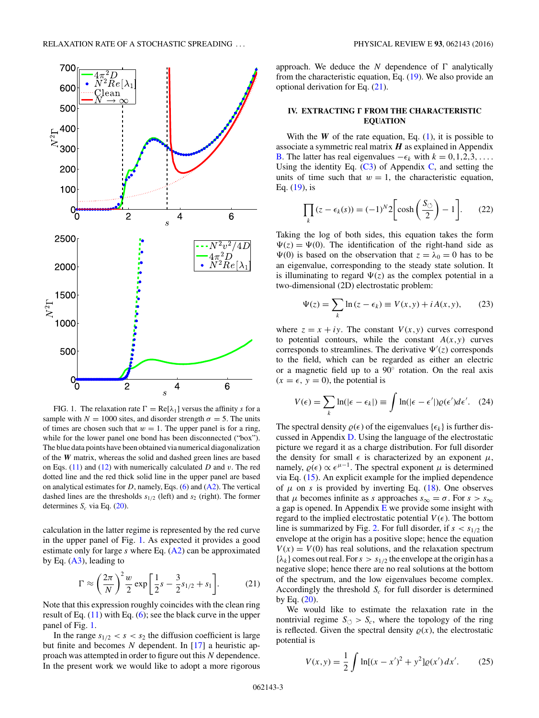<span id="page-2-0"></span>

FIG. 1. The relaxation rate  $\Gamma = \text{Re}[\lambda_1]$  versus the affinity *s* for a sample with  $N = 1000$  sites, and disorder strength  $\sigma = 5$ . The units of times are chosen such that  $w = 1$ . The upper panel is for a ring, while for the lower panel one bond has been disconnected ("box"). The blue data points have been obtained via numerical diagonalization of the *W* matrix, whereas the solid and dashed green lines are based on Eqs. [\(11\)](#page-1-0) and [\(12\)](#page-1-0) with numerically calculated *D* and *v*. The red dotted line and the red thick solid line in the upper panel are based on analytical estimates for  $D$ , namely, Eqs.  $(6)$  and  $(A2)$ . The vertical dashed lines are the thresholds  $s_{1/2}$  (left) and  $s_2$  (right). The former determines  $S_c$  via Eq. [\(20\)](#page-1-0).

calculation in the latter regime is represented by the red curve in the upper panel of Fig. 1. As expected it provides a good estimate only for large *s* where Eq. [\(A2\)](#page-6-0) can be approximated by Eq.  $(A3)$ , leading to

$$
\Gamma \approx \left(\frac{2\pi}{N}\right)^2 \frac{w}{2} \exp\left[\frac{1}{2}s - \frac{3}{2}s_{1/2} + s_1\right].\tag{21}
$$

Note that this expression roughly coincides with the clean ring result of Eq.  $(11)$  with Eq.  $(6)$ ; see the black curve in the upper panel of Fig. 1.

In the range  $s_{1/2} < s < s_2$  the diffusion coefficient is large but finite and becomes *N* dependent. In [\[17\]](#page-8-0) a heuristic approach was attempted in order to figure out this *N* dependence. In the present work we would like to adopt a more rigorous approach. We deduce the  $N$  dependence of  $\Gamma$  analytically from the characteristic equation, Eq. [\(19\)](#page-1-0). We also provide an optional derivation for Eq. (21).

### **IV. EXTRACTING**  $\Gamma$  **FROM THE CHARACTERISTIC EQUATION**

With the  $W$  of the rate equation, Eq.  $(1)$ , it is possible to associate a symmetric real matrix *H* as explained in Appendix [B.](#page-7-0) The latter has real eigenvalues  $-\epsilon_k$  with  $k = 0, 1, 2, 3, \ldots$ . Using the identity Eq.  $(C3)$  of Appendix [C,](#page-7-0) and setting the units of time such that  $w = 1$ , the characteristic equation, Eq.  $(19)$ , is

$$
\prod_{k} (z - \epsilon_k(s)) = (-1)^N 2 \bigg[ \cosh\left(\frac{S_{\circlearrowleft}}{2}\right) - 1 \bigg]. \tag{22}
$$

Taking the log of both sides, this equation takes the form  $\Psi(z) = \Psi(0)$ . The identification of the right-hand side as  $\Psi(0)$  is based on the observation that  $z = \lambda_0 = 0$  has to be an eigenvalue, corresponding to the steady state solution. It is illuminating to regard  $\Psi(z)$  as the complex potential in a two-dimensional (2D) electrostatic problem:

$$
\Psi(z) = \sum_{k} \ln(z - \epsilon_k) \equiv V(x, y) + i A(x, y), \qquad (23)
$$

where  $z = x + iy$ . The constant  $V(x, y)$  curves correspond to potential contours, while the constant  $A(x, y)$  curves corresponds to streamlines. The derivative  $\Psi'(z)$  corresponds to the field, which can be regarded as either an electric or a magnetic field up to a 90◦ rotation. On the real axis  $(x = \epsilon, y = 0)$ , the potential is

$$
V(\epsilon) = \sum_{k} \ln(|\epsilon - \epsilon_k|) \equiv \int \ln(|\epsilon - \epsilon'|) \varrho(\epsilon') d\epsilon'. \quad (24)
$$

The spectral density  $\rho(\epsilon)$  of the eigenvalues  $\{\epsilon_k\}$  is further discussed in Appendix [D.](#page-7-0) Using the language of the electrostatic picture we regard it as a charge distribution. For full disorder the density for small  $\epsilon$  is characterized by an exponent  $\mu$ , namely,  $\varrho(\epsilon) \propto \epsilon^{\mu-1}$ . The spectral exponent  $\mu$  is determined via Eq. [\(15\)](#page-1-0). An explicit example for the implied dependence of  $\mu$  on *s* is provided by inverting Eq. [\(18\)](#page-1-0). One observes that  $\mu$  becomes infinite as *s* approaches  $s_{\infty} = \sigma$ . For  $s > s_{\infty}$ a gap is opened. In Appendix  $E$  we provide some insight with regard to the implied electrostatic potential  $V(\epsilon)$ . The bottom line is summarized by Fig. [2.](#page-3-0) For full disorder, if  $s < s_{1/2}$  the envelope at the origin has a positive slope; hence the equation  $V(x) = V(0)$  has real solutions, and the relaxation spectrum  ${\lambda_k}$  comes out real. For  $s > s_{1/2}$  the envelope at the origin has a negative slope; hence there are no real solutions at the bottom of the spectrum, and the low eigenvalues become complex. Accordingly the threshold  $S_c$  for full disorder is determined by Eq. [\(20\)](#page-1-0).

We would like to estimate the relaxation rate in the nontrivial regime  $S_{\circlearrowleft} > S_c$ , where the topology of the ring is reflected. Given the spectral density  $\rho(x)$ , the electrostatic potential is

$$
V(x,y) = \frac{1}{2} \int \ln[(x-x')^2 + y^2] \varrho(x') dx'. \tag{25}
$$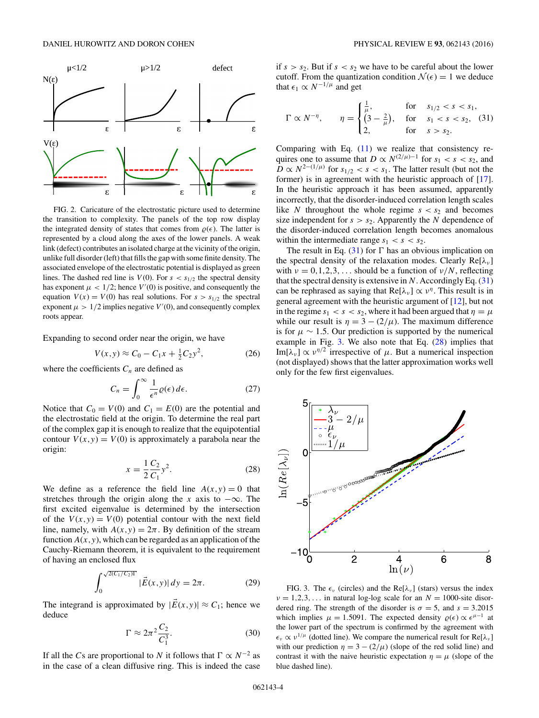<span id="page-3-0"></span>

FIG. 2. Caricature of the electrostatic picture used to determine the transition to complexity. The panels of the top row display the integrated density of states that comes from  $\rho(\epsilon)$ . The latter is represented by a cloud along the axes of the lower panels. A weak link (defect) contributes an isolated charge at the vicinity of the origin, unlike full disorder (left) that fills the gap with some finite density. The associated envelope of the electrostatic potential is displayed as green lines. The dashed red line is  $V(0)$ . For  $s < s_{1/2}$  the spectral density has exponent  $\mu$  < 1/2; hence  $V'(0)$  is positive, and consequently the equation  $V(x) = V(0)$  has real solutions. For  $s > s_{1/2}$  the spectral exponent  $\mu > 1/2$  implies negative  $V'(0)$ , and consequently complex roots appear.

Expanding to second order near the origin, we have

$$
V(x, y) \approx C_0 - C_1 x + \frac{1}{2} C_2 y^2, \tag{26}
$$

where the coefficients  $C_n$  are defined as

$$
C_n = \int_0^\infty \frac{1}{\epsilon^n} \varrho(\epsilon) \, d\epsilon. \tag{27}
$$

Notice that  $C_0 = V(0)$  and  $C_1 = E(0)$  are the potential and the electrostatic field at the origin. To determine the real part of the complex gap it is enough to realize that the equipotential contour  $V(x, y) = V(0)$  is approximately a parabola near the origin:

$$
x = \frac{1}{2} \frac{C_2}{C_1} y^2.
$$
 (28)

We define as a reference the field line  $A(x, y) = 0$  that stretches through the origin along the *x* axis to  $-\infty$ . The first excited eigenvalue is determined by the intersection of the  $V(x, y) = V(0)$  potential contour with the next field line, namely, with  $A(x, y) = 2\pi$ . By definition of the stream function  $A(x, y)$ , which can be regarded as an application of the Cauchy-Riemann theorem, it is equivalent to the requirement of having an enclosed flux

$$
\int_0^{\sqrt{2(C_1/C_2)\Gamma}} |\vec{E}(x,y)| dy = 2\pi.
$$
 (29)

The integrand is approximated by  $|\vec{E}(x,y)| \approx C_1$ ; hence we deduce

$$
\Gamma \approx 2\pi^2 \frac{C_2}{C_1^3}.\tag{30}
$$

If all the *C*s are proportional to *N* it follows that  $\Gamma \propto N^{-2}$  as in the case of a clean diffusive ring. This is indeed the case if  $s > s_2$ . But if  $s < s_2$  we have to be careful about the lower cutoff. From the quantization condition  $\mathcal{N}(\epsilon) = 1$  we deduce that  $\epsilon_1 \propto N^{-1/\mu}$  and get

$$
\Gamma \propto N^{-\eta}, \qquad \eta = \begin{cases} \frac{1}{\mu}, & \text{for} \quad s_{1/2} < s < s_1, \\ \left(3 - \frac{2}{\mu}\right), & \text{for} \quad s_1 < s < s_2, \\ 2, & \text{for} \quad s > s_2. \end{cases} \tag{31}
$$

Comparing with Eq.  $(11)$  we realize that consistency requires one to assume that  $D \propto N^{(2/\mu)-1}$  for  $s_1 < s < s_2$ , and  $\overline{D} \propto N^{2-(1/\mu)}$  for  $s_{1/2} < s < s_1$ . The latter result (but not the former) is in agreement with the heuristic approach of [\[17\]](#page-8-0). In the heuristic approach it has been assumed, apparently incorrectly, that the disorder-induced correlation length scales like *N* throughout the whole regime  $s < s_2$  and becomes size independent for  $s > s_2$ . Apparently the *N* dependence of the disorder-induced correlation length becomes anomalous within the intermediate range  $s_1 < s < s_2$ .

The result in Eq.  $(31)$  for  $\Gamma$  has an obvious implication on the spectral density of the relaxation modes. Clearly Re[λ<sub>*ν*</sub>] with  $\nu = 0, 1, 2, 3, \ldots$  should be a function of  $\nu/N$ , reflecting that the spectral density is extensive in  $N$ . Accordingly Eq.  $(31)$ can be rephrased as saying that  $\text{Re}[\lambda_{\nu}] \propto \nu^{\eta}$ . This result is in general agreement with the heuristic argument of [\[12\]](#page-8-0), but not in the regime  $s_1 < s < s_2$ , where it had been argued that  $\eta = \mu$ while our result is  $\eta = 3 - (2/\mu)$ . The maximum difference is for  $\mu \sim 1.5$ . Our prediction is supported by the numerical example in Fig.  $3$ . We also note that Eq.  $(28)$  implies that Im[ $\lambda_{\nu}$ ]  $\propto \nu^{\eta/2}$  irrespective of  $\mu$ . But a numerical inspection (not displayed) shows that the latter approximation works well only for the few first eigenvalues.



FIG. 3. The  $\epsilon_{\nu}$  (circles) and the Re[ $\lambda_{\nu}$ ] (stars) versus the index  $\nu = 1, 2, 3, \ldots$  in natural log-log scale for an  $N = 1000$ -site disordered ring. The strength of the disorder is  $\sigma = 5$ , and  $s = 3.2015$ which implies  $\mu = 1.5091$ . The expected density  $\rho(\epsilon) \propto \epsilon^{\mu-1}$  at the lower part of the spectrum is confirmed by the agreement with  $\epsilon_v \propto v^{1/\mu}$  (dotted line). We compare the numerical result for Re[ $\lambda_v$ ] with our prediction  $\eta = 3 - (2/\mu)$  (slope of the red solid line) and contrast it with the naive heuristic expectation  $\eta = \mu$  (slope of the blue dashed line).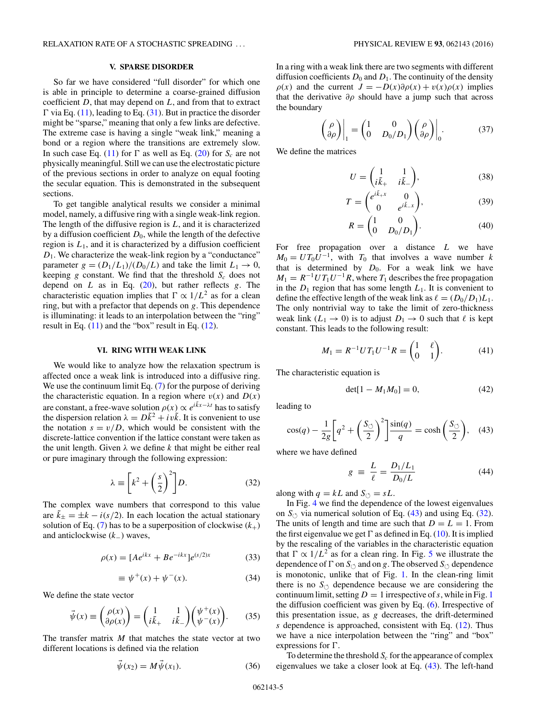### **V. SPARSE DISORDER**

<span id="page-4-0"></span>So far we have considered "full disorder" for which one is able in principle to determine a coarse-grained diffusion coefficient *D*, that may depend on *L*, and from that to extract  $\Gamma$  via Eq. [\(11\)](#page-1-0), leading to Eq. [\(31\)](#page-3-0). But in practice the disorder might be "sparse," meaning that only a few links are defective. The extreme case is having a single "weak link," meaning a bond or a region where the transitions are extremely slow. In such case Eq. [\(11\)](#page-1-0) for  $\Gamma$  as well as Eq. [\(20\)](#page-1-0) for  $S_c$  are not physically meaningful. Still we can use the electrostatic picture of the previous sections in order to analyze on equal footing the secular equation. This is demonstrated in the subsequent sections.

To get tangible analytical results we consider a minimal model, namely, a diffusive ring with a single weak-link region. The length of the diffusive region is *L*, and it is characterized by a diffusion coefficient  $D_0$ , while the length of the defective region is  $L_1$ , and it is characterized by a diffusion coefficient  $D_1$ . We characterize the weak-link region by a "conductance" parameter  $g = (D_1/L_1)/(D_0/L)$  and take the limit  $L_1 \rightarrow 0$ , keeping  $g$  constant. We find that the threshold  $S_c$  does not depend on *L* as in Eq. [\(20\)](#page-1-0), but rather reflects *g*. The characteristic equation implies that  $\Gamma \propto 1/L^2$  as for a clean ring, but with a prefactor that depends on *g*. This dependence is illuminating: it leads to an interpolation between the "ring" result in Eq.  $(11)$  and the "box" result in Eq.  $(12)$ .

### **VI. RING WITH WEAK LINK**

We would like to analyze how the relaxation spectrum is affected once a weak link is introduced into a diffusive ring. We use the continuum limit Eq. [\(7\)](#page-1-0) for the purpose of deriving the characteristic equation. In a region where  $v(x)$  and  $D(x)$ are constant, a free-wave solution  $\rho(x) \propto e^{i\tilde{k}x - \lambda t}$  has to satisfy the dispersion relation  $\lambda = D\tilde{k}^2 + iv\tilde{k}$ . It is convenient to use the notation  $s = v/D$ , which would be consistent with the discrete-lattice convention if the lattice constant were taken as the unit length. Given  $\lambda$  we define  $k$  that might be either real or pure imaginary through the following expression:

$$
\lambda \equiv \left[k^2 + \left(\frac{s}{2}\right)^2\right]D. \tag{32}
$$

The complex wave numbers that correspond to this value are  $\tilde{k}_{\pm} = \pm k - i(s/2)$ . In each location the actual stationary solution of Eq. [\(7\)](#page-1-0) has to be a superposition of clockwise  $(k_{+})$ and anticlockwise (*k*−) waves,

$$
\rho(x) = [Ae^{ikx} + Be^{-ikx}]e^{(s/2)x}
$$
 (33)

$$
\equiv \psi^+(x) + \psi^-(x). \tag{34}
$$

We define the state vector

$$
\vec{\psi}(x) \equiv \begin{pmatrix} \rho(x) \\ \partial \rho(x) \end{pmatrix} = \begin{pmatrix} 1 & 1 \\ i\tilde{k}_+ & i\tilde{k}_- \end{pmatrix} \begin{pmatrix} \psi^+(x) \\ \psi^-(x) \end{pmatrix} . \tag{35}
$$

The transfer matrix *M* that matches the state vector at two different locations is defined via the relation

$$
\vec{\psi}(x_2) = M \vec{\psi}(x_1). \tag{36}
$$

In a ring with a weak link there are two segments with different diffusion coefficients  $D_0$  and  $D_1$ . The continuity of the density *ρ*(*x*) and the current  $J = -D(x)\partial\rho(x) + v(x)\rho(x)$  implies that the derivative  $\partial \rho$  should have a jump such that across the boundary

$$
\begin{pmatrix} \rho \\ \partial \rho \end{pmatrix} \Big|_{1} = \begin{pmatrix} 1 & 0 \\ 0 & D_0/D_1 \end{pmatrix} \begin{pmatrix} \rho \\ \partial \rho \end{pmatrix} \Big|_{0}. \tag{37}
$$

We define the matrices

$$
U = \begin{pmatrix} 1 & 1 \\ i\tilde{k}_+ & i\tilde{k}_- \end{pmatrix},\tag{38}
$$

$$
T = \begin{pmatrix} e^{i\tilde{k}_+x} & 0\\ 0 & e^{i\tilde{k}_-x} \end{pmatrix},\tag{39}
$$

$$
R = \begin{pmatrix} 1 & 0 \\ 0 & D_0/D_1 \end{pmatrix}.
$$
 (40)

For free propagation over a distance *L* we have  $M_0 = UT_0U^{-1}$ , with  $T_0$  that involves a wave number *k* that is determined by  $D_0$ . For a weak link we have  $M_1 = R^{-1} U T_1 U^{-1} R$ , where  $T_1$  describes the free propagation in the  $D_1$  region that has some length  $L_1$ . It is convenient to define the effective length of the weak link as  $\ell = (D_0/D_1)L_1$ . The only nontrivial way to take the limit of zero-thickness weak link  $(L_1 \rightarrow 0)$  is to adjust  $D_1 \rightarrow 0$  such that  $\ell$  is kept constant. This leads to the following result:

$$
M_1 = R^{-1} U T_1 U^{-1} R = \begin{pmatrix} 1 & \ell \\ 0 & 1 \end{pmatrix}.
$$
 (41)

The characteristic equation is

$$
\det[1 - M_1 M_0] = 0,\t(42)
$$

leading to

$$
\cos(q) - \frac{1}{2g} \left[ q^2 + \left(\frac{S_{\circlearrowleft}}{2}\right)^2 \right] \frac{\sin(q)}{q} = \cosh\left(\frac{S_{\circlearrowleft}}{2}\right), \quad (43)
$$

where we have defined

$$
g \equiv \frac{L}{\ell} = \frac{D_1/L_1}{D_0/L} \tag{44}
$$

along with  $q = kL$  and  $S_{\circlearrowleft} = sL$ .

In Fig. [4](#page-5-0) we find the dependence of the lowest eigenvalues on  $S_{\circlearrowleft}$  via numerical solution of Eq. (43) and using Eq. (32). The units of length and time are such that  $D = L = 1$ . From the first eigenvalue we get  $\Gamma$  as defined in Eq. [\(10\)](#page-1-0). It is implied by the rescaling of the variables in the characteristic equation that  $\Gamma \propto 1/L^2$  as for a clean ring. In Fig. [5](#page-5-0) we illustrate the dependence of  $\Gamma$  on  $S_{\circlearrowleft}$  and on *g*. The observed  $S_{\circlearrowleft}$  dependence is monotonic, unlike that of Fig. [1.](#page-2-0) In the clean-ring limit there is no  $S_{\circlearrowleft}$  dependence because we are considering the continuum limit, setting  $D = 1$  $D = 1$  irrespective of *s*, while in Fig. 1 the diffusion coefficient was given by Eq. [\(6\)](#page-1-0). Irrespective of this presentation issue, as *g* decreases, the drift-determined *s* dependence is approached, consistent with Eq. [\(12\)](#page-1-0). Thus we have a nice interpolation between the "ring" and "box" expressions for  $\Gamma$ .

To determine the threshold  $S_c$  for the appearance of complex eigenvalues we take a closer look at Eq. (43). The left-hand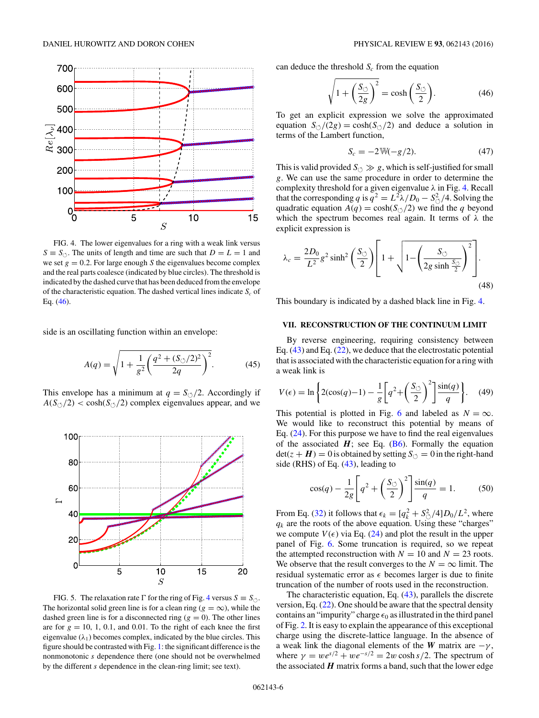<span id="page-5-0"></span>

FIG. 4. The lower eigenvalues for a ring with a weak link versus  $S \equiv S_{\circlearrowleft}$ . The units of length and time are such that  $D = L = 1$  and we set  $g = 0.2$ . For large enough *S* the eigenvalues become complex and the real parts coalesce (indicated by blue circles). The threshold is indicated by the dashed curve that has been deduced from the envelope of the characteristic equation. The dashed vertical lines indicate  $S_c$  of Eq. (46).

side is an oscillating function within an envelope:

$$
A(q) = \sqrt{1 + \frac{1}{g^2} \left(\frac{q^2 + (S_{\circlearrowleft}/2)^2}{2q}\right)^2}.
$$
 (45)

This envelope has a minimum at  $q = S_{\circlearrowleft}/2$ . Accordingly if  $A(S_{\circlearrowleft}/2) < \cosh(S_{\circlearrowleft}/2)$  complex eigenvalues appear, and we



FIG. 5. The relaxation rate  $\Gamma$  for the ring of Fig. 4 versus  $S \equiv S_{\circlearrowleft}$ . The horizontal solid green line is for a clean ring ( $g = \infty$ ), while the dashed green line is for a disconnected ring  $(g = 0)$ . The other lines are for  $g = 10, 1, 0.1$ , and 0.01. To the right of each knee the first eigenvalue  $(\lambda_1)$  becomes complex, indicated by the blue circles. This figure should be contrasted with Fig. [1:](#page-2-0) the significant difference is the nonmonotonic *s* dependence there (one should not be overwhelmed by the different *s* dependence in the clean-ring limit; see text).

can deduce the threshold  $S_c$  from the equation

$$
\sqrt{1 + \left(\frac{S_{\circlearrowleft}}{2g}\right)^2} = \cosh\left(\frac{S_{\circlearrowleft}}{2}\right). \tag{46}
$$

To get an explicit expression we solve the approximated equation  $S_{\circlearrowleft}/(2g) = \cosh(S_{\circlearrowleft}/2)$  and deduce a solution in terms of the Lambert function,

$$
S_c = -2W(-g/2). \tag{47}
$$

This is valid provided  $S_{\circlearrowleft} \gg g$ , which is self-justified for small *g*. We can use the same procedure in order to determine the complexity threshold for a given eigenvalue *λ* in Fig. 4. Recall that the corresponding *q* is  $q^2 = L^2 \lambda / D_0 - S^2 \Delta / 4$ . Solving the quadratic equation  $A(q) = \cosh(S_{\circlearrowleft}/2)$  we find the *q* beyond which the spectrum becomes real again. It terms of *λ* the explicit expression is

$$
\lambda_c = \frac{2D_0}{L^2} g^2 \sinh^2 \left(\frac{S_\circlearrowleft}{2}\right) \left[1 + \sqrt{1 - \left(\frac{S_\circlearrowleft}{2g \sinh \frac{S_\circlearrowleft}{2}\right)^2}\right)^2\right].\tag{48}
$$

This boundary is indicated by a dashed black line in Fig. 4.

## **VII. RECONSTRUCTION OF THE CONTINUUM LIMIT**

By reverse engineering, requiring consistency between Eq.  $(43)$  and Eq.  $(22)$ , we deduce that the electrostatic potential that is associated with the characteristic equation for a ring with a weak link is

$$
V(\epsilon) = \ln\left\{2(\cos(q) - 1) - \frac{1}{g}\left[q^2 + \left(\frac{S_{\circlearrowleft}}{2}\right)^2\right]\frac{\sin(q)}{q}\right\}.\tag{49}
$$

This potential is plotted in Fig. [6](#page-6-0) and labeled as  $N = \infty$ . We would like to reconstruct this potential by means of Eq. [\(24\)](#page-2-0). For this purpose we have to find the real eigenvalues of the associated  $H$ ; see Eq. [\(B6\)](#page-7-0). Formally the equation  $\det(z + H) = 0$  is obtained by setting  $S_{\circlearrowleft} = 0$  in the right-hand side (RHS) of Eq. [\(43\)](#page-4-0), leading to

$$
\cos(q) - \frac{1}{2g} \left[ q^2 + \left( \frac{S_{\circlearrowleft}}{2} \right)^2 \right] \frac{\sin(q)}{q} = 1. \tag{50}
$$

From Eq. [\(32\)](#page-4-0) it follows that  $\epsilon_k = \left[ q_k^2 + \frac{S_{\circ}^2}{4} \right] D_0 / L^2$ , where  $q_k$  are the roots of the above equation. Using these "charges" we compute  $V(\epsilon)$  via Eq. [\(24\)](#page-2-0) and plot the result in the upper panel of Fig. [6.](#page-6-0) Some truncation is required, so we repeat the attempted reconstruction with  $N = 10$  and  $N = 23$  roots. We observe that the result converges to the  $N = \infty$  limit. The residual systematic error as  $\epsilon$  becomes larger is due to finite truncation of the number of roots used in the reconstruction.

The characteristic equation, Eq. [\(43\)](#page-4-0), parallels the discrete version, Eq.  $(22)$ . One should be aware that the spectral density contains an "impurity" charge  $\epsilon_0$  as illustrated in the third panel of Fig. [2.](#page-3-0) It is easy to explain the appearance of this exceptional charge using the discrete-lattice language. In the absence of a weak link the diagonal elements of the *W* matrix are  $-\gamma$ , where  $\gamma = we^{s/2} + we^{-s/2} = 2w \cosh s/2$ . The spectrum of the associated  $H$  matrix forms a band, such that the lower edge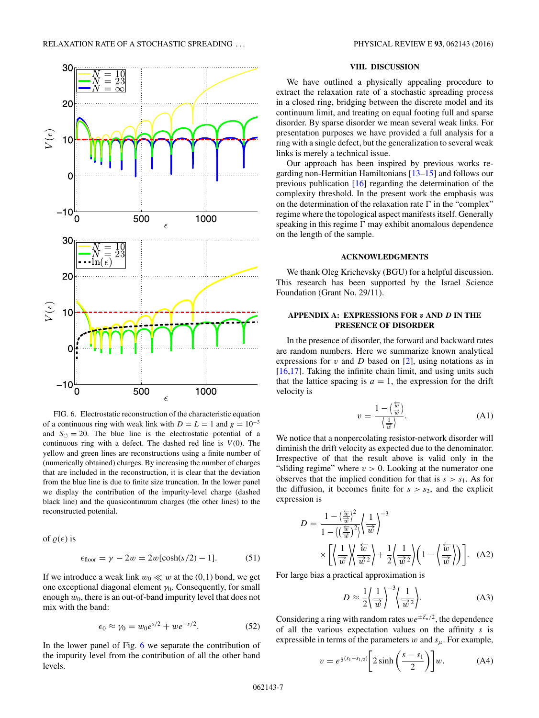<span id="page-6-0"></span>

FIG. 6. Electrostatic reconstruction of the characteristic equation of a continuous ring with weak link with  $D = L = 1$  and  $g = 10^{-3}$ and  $S_{\circlearrowleft} = 20$ . The blue line is the electrostatic potential of a continuous ring with a defect. The dashed red line is  $V(0)$ . The yellow and green lines are reconstructions using a finite number of (numerically obtained) charges. By increasing the number of charges that are included in the reconstruction, it is clear that the deviation from the blue line is due to finite size truncation. In the lower panel we display the contribution of the impurity-level charge (dashed black line) and the quasicontinuum charges (the other lines) to the reconstructed potential.

of  $\rho(\epsilon)$  is

$$
\epsilon_{\text{floor}} = \gamma - 2w = 2w[\cosh(s/2) - 1].\tag{51}
$$

If we introduce a weak link  $w_0 \ll w$  at the (0,1) bond, we get one exceptional diagonal element *γ*0. Consequently, for small enough *w*0, there is an out-of-band impurity level that does not mix with the band:

$$
\epsilon_0 \approx \gamma_0 = w_0 e^{s/2} + w e^{-s/2}.\tag{52}
$$

In the lower panel of Fig. 6 we separate the contribution of the impurity level from the contribution of all the other band levels.

### **VIII. DISCUSSION**

We have outlined a physically appealing procedure to extract the relaxation rate of a stochastic spreading process in a closed ring, bridging between the discrete model and its continuum limit, and treating on equal footing full and sparse disorder. By sparse disorder we mean several weak links. For presentation purposes we have provided a full analysis for a ring with a single defect, but the generalization to several weak links is merely a technical issue.

Our approach has been inspired by previous works regarding non-Hermitian Hamiltonians [\[13–15\]](#page-8-0) and follows our previous publication [\[16\]](#page-8-0) regarding the determination of the complexity threshold. In the present work the emphasis was on the determination of the relaxation rate  $\Gamma$  in the "complex" regime where the topological aspect manifests itself. Generally speaking in this regime  $\Gamma$  may exhibit anomalous dependence on the length of the sample.

### **ACKNOWLEDGMENTS**

We thank Oleg Krichevsky (BGU) for a helpful discussion. This research has been supported by the Israel Science Foundation (Grant No. 29/11).

# **APPENDIX A: EXPRESSIONS FOR** *v* **AND** *D* **IN THE PRESENCE OF DISORDER**

In the presence of disorder, the forward and backward rates are random numbers. Here we summarize known analytical expressions for *v* and *D* based on [\[2\]](#page-8-0), using notations as in [\[16,17\]](#page-8-0). Taking the infinite chain limit, and using units such that the lattice spacing is  $a = 1$ , the expression for the drift velocity is

$$
v = \frac{1 - \left\langle \frac{\overleftarrow{w}}{\overrightarrow{w}} \right\rangle}{\left\langle \frac{1}{\overrightarrow{w}} \right\rangle}.
$$
 (A1)

We notice that a nonpercolating resistor-network disorder will diminish the drift velocity as expected due to the denominator. Irrespective of that the result above is valid only in the "sliding regime" where  $v > 0$ . Looking at the numerator one observes that the implied condition for that is  $s > s_1$ . As for the diffusion, it becomes finite for  $s > s_2$ , and the explicit expression is

$$
D = \frac{1 - \left(\frac{\overleftarrow{w}}{\overrightarrow{w}}\right)^2}{1 - \left\langle \left(\frac{\overleftarrow{w}}{\overrightarrow{w}}\right)^2 \right\rangle \left(\frac{1}{\overrightarrow{w}}\right)^{-3}} \times \left[ \left\langle \frac{1}{\overrightarrow{w}} \right\rangle \left\langle \frac{\overleftarrow{w}}{\overrightarrow{w}^2} \right\rangle + \frac{1}{2} \left\langle \frac{1}{\overrightarrow{w}^2} \right\rangle \left(1 - \left\langle \frac{\overleftarrow{w}}{\overrightarrow{w}} \right\rangle \right) \right]. \quad (A2)
$$

For large bias a practical approximation is

$$
D \approx \frac{1}{2} \left\langle \frac{1}{\overrightarrow{w}} \right\rangle^{-3} \left\langle \frac{1}{\overrightarrow{w}^2} \right\rangle. \tag{A3}
$$

Considering a ring with random rates  $we^{\pm \mathcal{E}_n/2}$ , the dependence of all the various expectation values on the affinity *s* is expressible in terms of the parameters  $w$  and  $s_\mu$ . For example,

$$
v = e^{\frac{1}{2}(s_1 - s_{1/2})} \left[ 2 \sinh\left(\frac{s - s_1}{2}\right) \right] w.
$$
 (A4)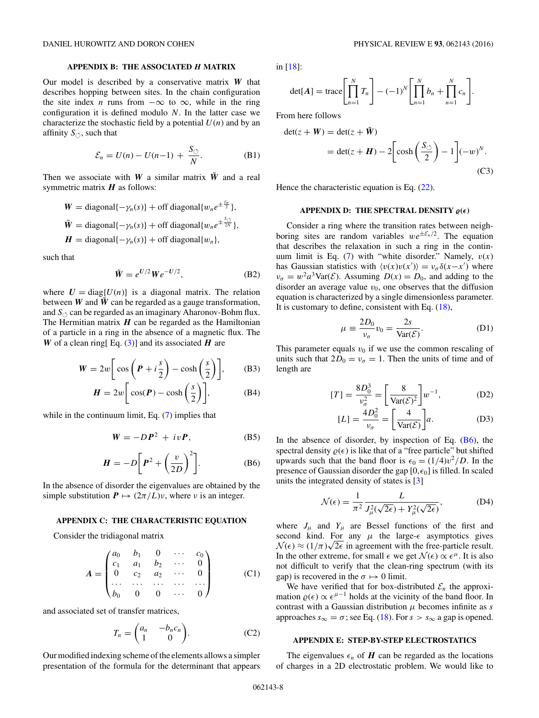## **APPENDIX B: THE ASSOCIATED** *H* **MATRIX**

<span id="page-7-0"></span>Our model is described by a conservative matrix *W* that describes hopping between sites. In the chain configuration the site index *n* runs from  $-\infty$  to  $\infty$ , while in the ring configuration it is defined modulo *N*. In the latter case we characterize the stochastic field by a potential  $U(n)$  and by an affinity  $S_{\circlearrowleft}$ , such that

$$
\mathcal{E}_n = U(n) - U(n-1) + \frac{S_{\circlearrowleft}}{N}.
$$
 (B1)

Then we associate with *W* a similar matrix  $\tilde{W}$  and a real symmetric matrix *H* as follows:

$$
W = \text{diagonal}\{-\gamma_n(s)\} + \text{off diagonal}\{w_n e^{\pm \frac{\xi_n}{2}}\},
$$
  

$$
\tilde{W} = \text{diagonal}\{-\gamma_n(s)\} + \text{off diagonal}\{w_n e^{\pm \frac{\xi_n}{2N}}\},
$$
  

$$
H = \text{diagonal}\{-\gamma_n(s)\} + \text{off diagonal}\{w_n\},
$$

such that

$$
\tilde{W} = e^{U/2} We^{-U/2},\tag{B2}
$$

where  $U = \text{diag}\{U(n)\}\$ is a diagonal matrix. The relation between *W* and  $\tilde{W}$  can be regarded as a gauge transformation, and  $S_{\circlearrowleft}$  can be regarded as an imaginary Aharonov-Bohm flux. The Hermitian matrix  $H$  can be regarded as the Hamiltonian of a particle in a ring in the absence of a magnetic flux. The *W* of a clean ring[ Eq. [\(3\)](#page-0-0)] and its associated  $H$  are

$$
W = 2w \bigg[ \cos \bigg( P + i \frac{s}{2} \bigg) - \cosh \bigg( \frac{s}{2} \bigg) \bigg], \qquad (B3)
$$

$$
H = 2w \bigg[ \cos(P) - \cosh\left(\frac{s}{2}\right) \bigg], \tag{B4}
$$

while in the continuum limit, Eq. [\(7\)](#page-1-0) implies that

$$
W = -DP^2 + ivP, \tag{B5}
$$

$$
H = -D\bigg[P^2 + \bigg(\frac{v}{2D}\bigg)^2\bigg].
$$
 (B6)

In the absence of disorder the eigenvalues are obtained by the simple substitution  $P \mapsto (2\pi/L)\nu$ , where  $\nu$  is an integer.

## **APPENDIX C: THE CHARACTERISTIC EQUATION**

Consider the tridiagonal matrix

$$
A = \begin{pmatrix} a_0 & b_1 & 0 & \cdots & c_0 \\ c_1 & a_1 & b_2 & \cdots & 0 \\ 0 & c_2 & a_2 & \cdots & 0 \\ \cdots & \cdots & \cdots & \cdots & \cdots \\ b_0 & 0 & 0 & \cdots & 0 \end{pmatrix}
$$
 (C1)

and associated set of transfer matrices,

$$
T_n = \begin{pmatrix} a_n & -b_n c_n \\ 1 & 0 \end{pmatrix}.
$$
 (C2)

Our modified indexing scheme of the elements allows a simpler presentation of the formula for the determinant that appears

in [\[18\]](#page-8-0):

$$
\det[\mathbf{A}] = \operatorname{trace}\left[\prod_{n=1}^{N} T_n\right] - (-1)^N \left[\prod_{n=1}^{N} b_n + \prod_{n=1}^{N} c_n\right].
$$

From here follows

$$
det(z + W) = det(z + \tilde{W})
$$
  
= det(z + H) - 2\left[ cosh\left(\frac{S\_{\circlearrowleft}}{2}\right) - 1\right](-w)^{N}. (C3)

Hence the characteristic equation is Eq.  $(22)$ .

### **APPENDIX D: THE SPECTRAL DENSITY**  $\varrho(\epsilon)$

Consider a ring where the transition rates between neighboring sites are random variables  $we^{\pm \mathcal{E}_n/2}$ . The equation that describes the relaxation in such a ring in the continuum limit is Eq. [\(7\)](#page-1-0) with "white disorder." Namely, *v*(*x*) has Gaussian statistics with  $\langle v(x)v(x') \rangle = v_{\sigma} \delta(x-x')$  where  $\nu_{\sigma} = w^2 a^3 \text{Var}(\mathcal{E})$ . Assuming  $D(x) = D_0$ , and adding to the disorder an average value  $v_0$ , one observes that the diffusion equation is characterized by a single dimensionless parameter. It is customary to define, consistent with Eq. [\(18\)](#page-1-0),

$$
\mu \equiv \frac{2D_0}{v_\sigma} v_0 = \frac{2s}{\text{Var}(\mathcal{E})}.
$$
 (D1)

This parameter equals  $v_0$  if we use the common rescaling of units such that  $2D_0 = v_\sigma = 1$ . Then the units of time and of length are

$$
[T] = \frac{8D_0^3}{v_\sigma^2} = \left[\frac{8}{\text{Var}(\mathcal{E})^2}\right] w^{-1},\tag{D2}
$$

$$
[L] = \frac{4D_0^2}{v_{\sigma}} = \left[\frac{4}{\text{Var}(\mathcal{E})}\right]a.
$$
 (D3)

In the absence of disorder, by inspection of Eq.  $(B6)$ , the spectral density  $\rho(\epsilon)$  is like that of a "free particle" but shifted upwards such that the band floor is  $\epsilon_0 = (1/4)v^2/D$ . In the presence of Gaussian disorder the gap  $[0, \epsilon_0]$  is filled. In scaled units the integrated density of states is [\[3\]](#page-8-0)

$$
\mathcal{N}(\epsilon) = \frac{1}{\pi^2} \frac{L}{J_{\mu}^2(\sqrt{2\epsilon}) + Y_{\mu}^2(\sqrt{2\epsilon})},\tag{D4}
$$

where  $J_{\mu}$  and  $Y_{\mu}$  are Bessel functions of the first and second kind. For any  $\mu$  the large- $\epsilon$  asymptotics gives second kind. For any  $\mu$  the large- $\epsilon$  asymptotics gives<br> $\mathcal{N}(\epsilon) \approx (1/\pi)\sqrt{2\epsilon}$  in agreement with the free-particle result. In the other extreme, for small  $\epsilon$  we get  $\mathcal{N}(\epsilon) \propto \epsilon^{\mu}$ . It is also not difficult to verify that the clean-ring spectrum (with its gap) is recovered in the  $\sigma \mapsto 0$  limit.

We have verified that for box-distributed  $\mathcal{E}_n$  the approximation  $\rho(\epsilon) \propto \epsilon^{\mu-1}$  holds at the vicinity of the band floor. In contrast with a Gaussian distribution *μ* becomes infinite as *s* approaches  $s_{\infty} = \sigma$ ; see Eq. [\(18\)](#page-1-0). For  $s > s_{\infty}$  a gap is opened.

## **APPENDIX E: STEP-BY-STEP ELECTROSTATICS**

The eigenvalues  $\epsilon_n$  of *H* can be regarded as the locations of charges in a 2D electrostatic problem. We would like to